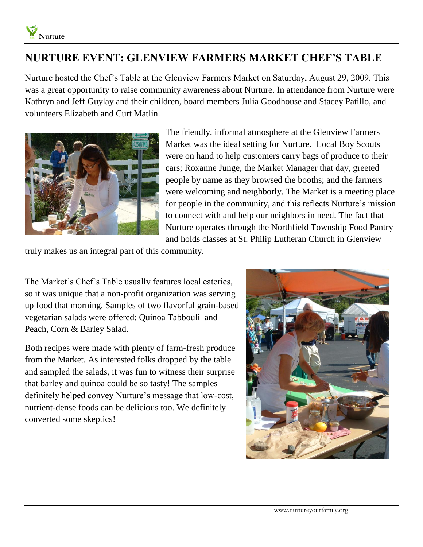## **NURTURE EVENT: GLENVIEW FARMERS MARKET CHEF'S TABLE**

Nurture hosted the Chef's Table at the Glenview Farmers Market on Saturday, August 29, 2009. This was a great opportunity to raise community awareness about Nurture. In attendance from Nurture were Kathryn and Jeff Guylay and their children, board members Julia Goodhouse and Stacey Patillo, and volunteers Elizabeth and Curt Matlin.



The friendly, informal atmosphere at the Glenview Farmers Market was the ideal setting for Nurture. Local Boy Scouts were on hand to help customers carry bags of produce to their cars; Roxanne Junge, the Market Manager that day, greeted people by name as they browsed the booths; and the farmers were welcoming and neighborly. The Market is a meeting place for people in the community, and this reflects Nurture's mission to connect with and help our neighbors in need. The fact that Nurture operates through the Northfield Township Food Pantry and holds classes at St. Philip Lutheran Church in Glenview

truly makes us an integral part of this community.

The Market's Chef's Table usually features local eateries, so it was unique that a non-profit organization was serving up food that morning. Samples of two flavorful grain-based vegetarian salads were offered: Quinoa Tabbouli and Peach, Corn & Barley Salad.

Both recipes were made with plenty of farm-fresh produce from the Market. As interested folks dropped by the table and sampled the salads, it was fun to witness their surprise that barley and quinoa could be so tasty! The samples definitely helped convey Nurture's message that low-cost, nutrient-dense foods can be delicious too. We definitely converted some skeptics!